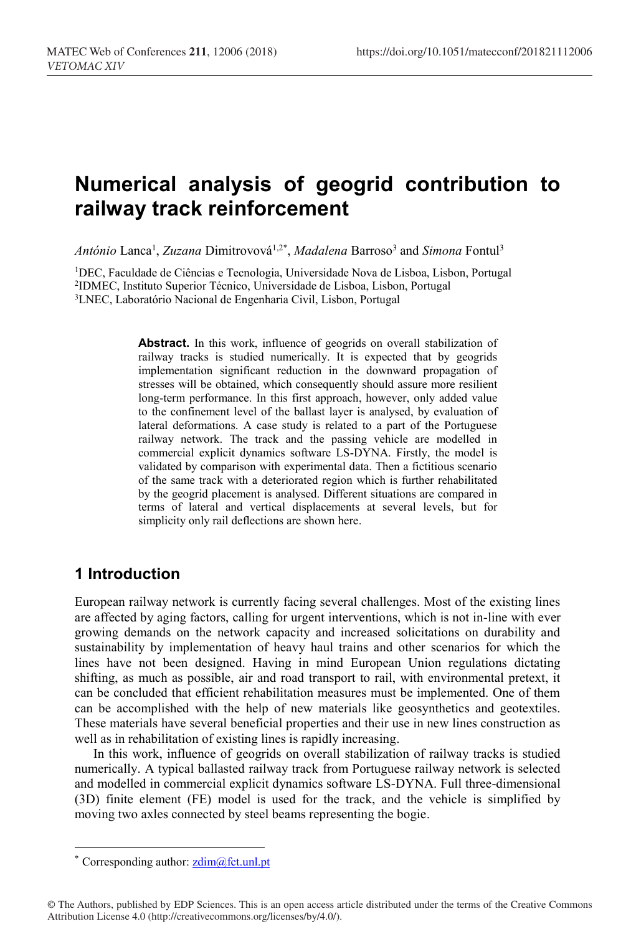# **Numerical analysis of geogrid contribution to railway track reinforcement**

*António* Lanca1 , *Zuzana* Dimitrovová1,2\* , *Madalena* Barroso3 and *Simona* Fontul3

1DEC, Faculdade de Ciências e Tecnologia, Universidade Nova de Lisboa, Lisbon, Portugal 2IDMEC, Instituto Superior Técnico, Universidade de Lisboa, Lisbon, Portugal 3LNEC, Laboratório Nacional de Engenharia Civil, Lisbon, Portugal

> Abstract. In this work, influence of geogrids on overall stabilization of railway tracks is studied numerically. It is expected that by geogrids implementation significant reduction in the downward propagation of stresses will be obtained, which consequently should assure more resilient long-term performance. In this first approach, however, only added value to the confinement level of the ballast layer is analysed, by evaluation of lateral deformations. A case study is related to a part of the Portuguese railway network. The track and the passing vehicle are modelled in commercial explicit dynamics software LS-DYNA. Firstly, the model is validated by comparison with experimental data. Then a fictitious scenario of the same track with a deteriorated region which is further rehabilitated by the geogrid placement is analysed. Different situations are compared in terms of lateral and vertical displacements at several levels, but for simplicity only rail deflections are shown here.

#### **1 Introduction**

European railway network is currently facing several challenges. Most of the existing lines are affected by aging factors, calling for urgent interventions, which is not in-line with ever growing demands on the network capacity and increased solicitations on durability and sustainability by implementation of heavy haul trains and other scenarios for which the lines have not been designed. Having in mind European Union regulations dictating shifting, as much as possible, air and road transport to rail, with environmental pretext, it can be concluded that efficient rehabilitation measures must be implemented. One of them can be accomplished with the help of new materials like geosynthetics and geotextiles. These materials have several beneficial properties and their use in new lines construction as well as in rehabilitation of existing lines is rapidly increasing.

In this work, influence of geogrids on overall stabilization of railway tracks is studied numerically. A typical ballasted railway track from Portuguese railway network is selected and modelled in commercial explicit dynamics software LS-DYNA. Full three-dimensional (3D) finite element (FE) model is used for the track, and the vehicle is simplified by moving two axles connected by steel beams representing the bogie.

 $\overline{a}$ 

<sup>\*</sup> Corresponding author:  $zdim(\mathcal{Q})$  fct.unl.pt

<sup>©</sup> The Authors, published by EDP Sciences. This is an open access article distributed under the terms of the Creative Commons Attribution License 4.0 (http://creativecommons.org/licenses/by/4.0/).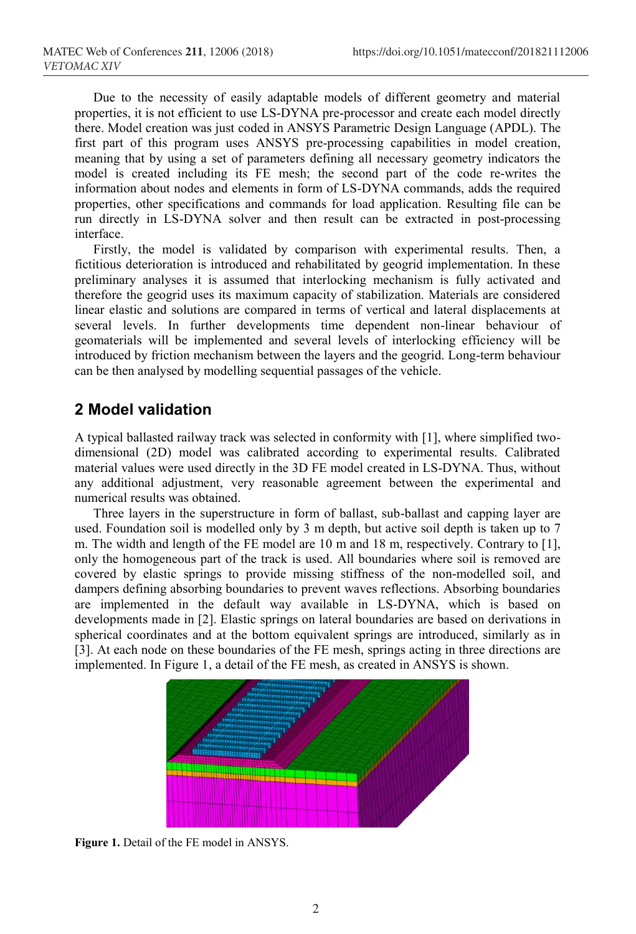Due to the necessity of easily adaptable models of different geometry and material properties, it is not efficient to use LS-DYNA pre-processor and create each model directly there. Model creation was just coded in ANSYS Parametric Design Language (APDL). The first part of this program uses ANSYS pre-processing capabilities in model creation, meaning that by using a set of parameters defining all necessary geometry indicators the model is created including its FE mesh; the second part of the code re-writes the information about nodes and elements in form of LS-DYNA commands, adds the required properties, other specifications and commands for load application. Resulting file can be run directly in LS-DYNA solver and then result can be extracted in post-processing interface.

Firstly, the model is validated by comparison with experimental results. Then, a fictitious deterioration is introduced and rehabilitated by geogrid implementation. In these preliminary analyses it is assumed that interlocking mechanism is fully activated and therefore the geogrid uses its maximum capacity of stabilization. Materials are considered linear elastic and solutions are compared in terms of vertical and lateral displacements at several levels. In further developments time dependent non-linear behaviour of geomaterials will be implemented and several levels of interlocking efficiency will be introduced by friction mechanism between the layers and the geogrid. Long-term behaviour can be then analysed by modelling sequential passages of the vehicle.

#### **2 Model validation**

A typical ballasted railway track was selected in conformity with [1], where simplified twodimensional (2D) model was calibrated according to experimental results. Calibrated material values were used directly in the 3D FE model created in LS-DYNA. Thus, without any additional adjustment, very reasonable agreement between the experimental and numerical results was obtained.

Three layers in the superstructure in form of ballast, sub-ballast and capping layer are used. Foundation soil is modelled only by 3 m depth, but active soil depth is taken up to 7 m. The width and length of the FE model are 10 m and 18 m, respectively. Contrary to [1], only the homogeneous part of the track is used. All boundaries where soil is removed are covered by elastic springs to provide missing stiffness of the non-modelled soil, and dampers defining absorbing boundaries to prevent waves reflections. Absorbing boundaries are implemented in the default way available in LS-DYNA, which is based on developments made in [2]. Elastic springs on lateral boundaries are based on derivations in spherical coordinates and at the bottom equivalent springs are introduced, similarly as in [3]. At each node on these boundaries of the FE mesh, springs acting in three directions are implemented. In Figure 1, a detail of the FE mesh, as created in ANSYS is shown.



**Figure 1.** Detail of the FE model in ANSYS.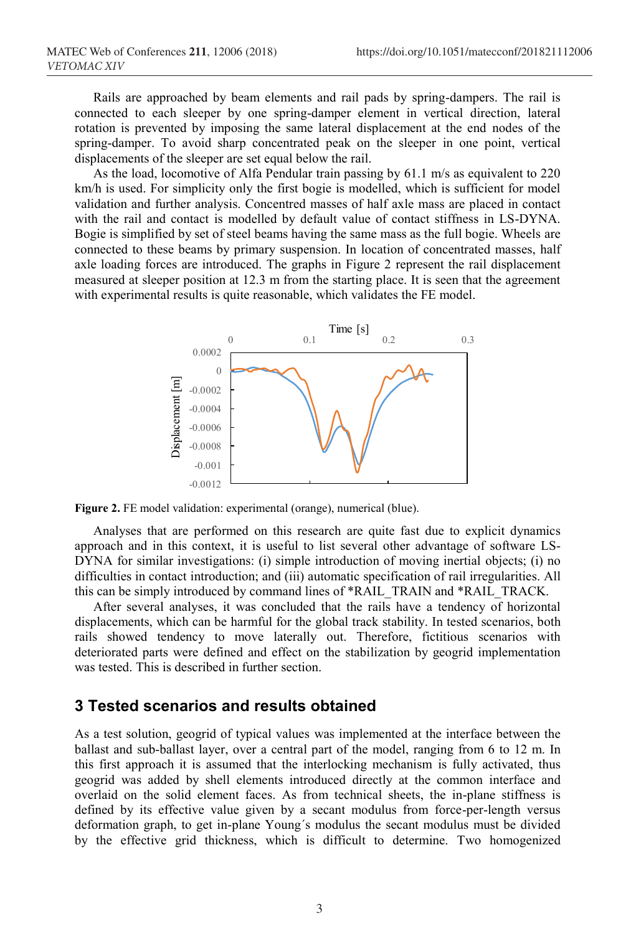Rails are approached by beam elements and rail pads by spring-dampers. The rail is connected to each sleeper by one spring-damper element in vertical direction, lateral rotation is prevented by imposing the same lateral displacement at the end nodes of the spring-damper. To avoid sharp concentrated peak on the sleeper in one point, vertical displacements of the sleeper are set equal below the rail.

As the load, locomotive of Alfa Pendular train passing by 61.1 m/s as equivalent to 220 km/h is used. For simplicity only the first bogie is modelled, which is sufficient for model validation and further analysis. Concentred masses of half axle mass are placed in contact with the rail and contact is modelled by default value of contact stiffness in LS-DYNA. Bogie is simplified by set of steel beams having the same mass as the full bogie. Wheels are connected to these beams by primary suspension. In location of concentrated masses, half axle loading forces are introduced. The graphs in Figure 2 represent the rail displacement measured at sleeper position at 12.3 m from the starting place. It is seen that the agreement with experimental results is quite reasonable, which validates the FE model.



**Figure 2.** FE model validation: experimental (orange), numerical (blue).

Analyses that are performed on this research are quite fast due to explicit dynamics approach and in this context, it is useful to list several other advantage of software LS-DYNA for similar investigations: (i) simple introduction of moving inertial objects; (i) no difficulties in contact introduction; and (iii) automatic specification of rail irregularities. All this can be simply introduced by command lines of \*RAIL\_TRAIN and \*RAIL\_TRACK.

After several analyses, it was concluded that the rails have a tendency of horizontal displacements, which can be harmful for the global track stability. In tested scenarios, both rails showed tendency to move laterally out. Therefore, fictitious scenarios with deteriorated parts were defined and effect on the stabilization by geogrid implementation was tested. This is described in further section.

#### **3 Tested scenarios and results obtained**

As a test solution, geogrid of typical values was implemented at the interface between the ballast and sub-ballast layer, over a central part of the model, ranging from 6 to 12 m. In this first approach it is assumed that the interlocking mechanism is fully activated, thus geogrid was added by shell elements introduced directly at the common interface and overlaid on the solid element faces. As from technical sheets, the in-plane stiffness is defined by its effective value given by a secant modulus from force-per-length versus deformation graph, to get in-plane Young´s modulus the secant modulus must be divided by the effective grid thickness, which is difficult to determine. Two homogenized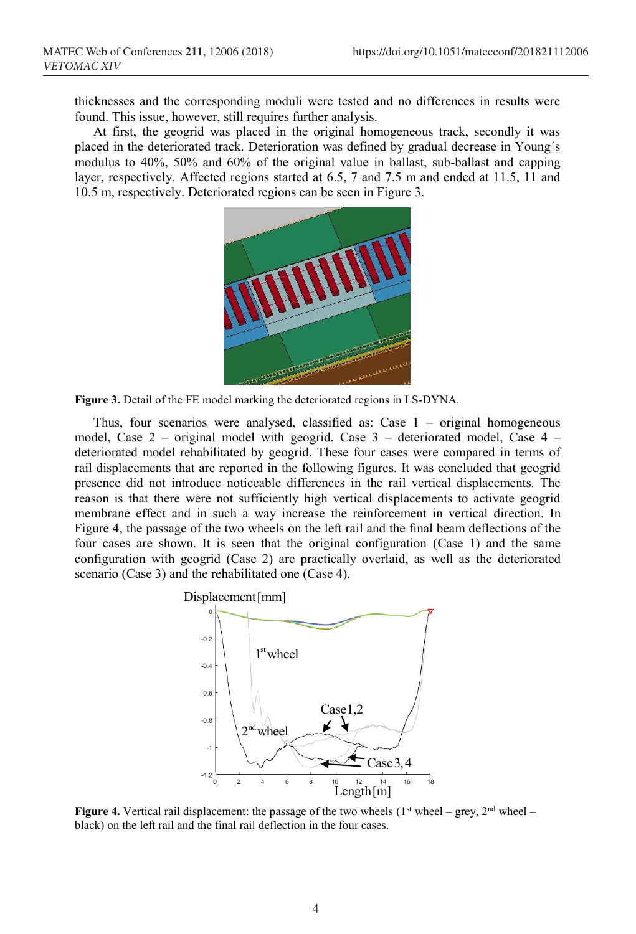thicknesses and the corresponding moduli were tested and no differences in results were found. This issue, however, still requires further analysis.

At first, the geogrid was placed in the original homogeneous track, secondly it was placed in the deteriorated track. Deterioration was defined by gradual decrease in Young´s modulus to 40%, 50% and 60% of the original value in ballast, sub-ballast and capping layer, respectively. Affected regions started at 6.5, 7 and 7.5 m and ended at 11.5, 11 and 10.5 m, respectively. Deteriorated regions can be seen in Figure 3.



**Figure 3.** Detail of the FE model marking the deteriorated regions in LS-DYNA.

Thus, four scenarios were analysed, classified as: Case  $1 -$  original homogeneous model, Case  $2$  – original model with geogrid, Case  $3$  – deteriorated model, Case  $4$  – deteriorated model rehabilitated by geogrid. These four cases were compared in terms of rail displacements that are reported in the following figures. It was concluded that geogrid presence did not introduce noticeable differences in the rail vertical displacements. The reason is that there were not sufficiently high vertical displacements to activate geogrid membrane effect and in such a way increase the reinforcement in vertical direction. In Figure 4, the passage of the two wheels on the left rail and the final beam deflections of the four cases are shown. It is seen that the original configuration (Case 1) and the same configuration with geogrid (Case 2) are practically overlaid, as well as the deteriorated scenario (Case 3) and the rehabilitated one (Case 4).



**Figure 4.** Vertical rail displacement: the passage of the two wheels ( $1<sup>st</sup>$  wheel – grey,  $2<sup>nd</sup>$  wheel – black) on the left rail and the final rail deflection in the four cases.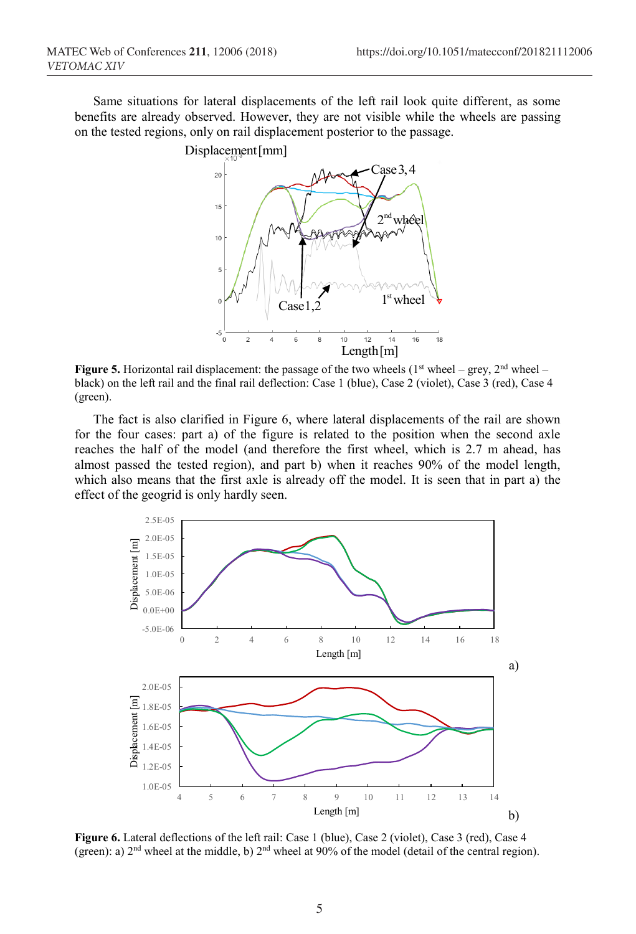Same situations for lateral displacements of the left rail look quite different, as some benefits are already observed. However, they are not visible while the wheels are passing on the tested regions, only on rail displacement posterior to the passage.



**Figure 5.** Horizontal rail displacement: the passage of the two wheels ( $1<sup>st</sup>$  wheel – grey,  $2<sup>nd</sup>$  wheel – black) on the left rail and the final rail deflection: Case 1 (blue), Case 2 (violet), Case 3 (red), Case 4 (green).

The fact is also clarified in Figure 6, where lateral displacements of the rail are shown for the four cases: part a) of the figure is related to the position when the second axle reaches the half of the model (and therefore the first wheel, which is 2.7 m ahead, has almost passed the tested region), and part b) when it reaches 90% of the model length, which also means that the first axle is already off the model. It is seen that in part a) the effect of the geogrid is only hardly seen.



**Figure 6.** Lateral deflections of the left rail: Case 1 (blue), Case 2 (violet), Case 3 (red), Case 4 (green): a) 2nd wheel at the middle, b) 2nd wheel at 90% of the model (detail of the central region).